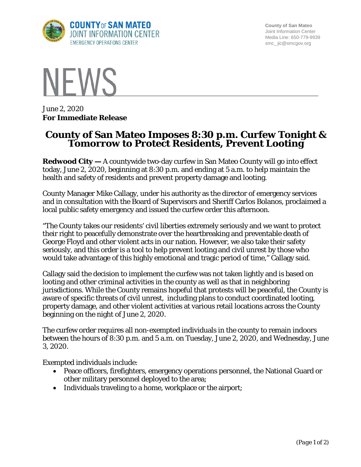

**County of San Mateo** Joint Information Center Media Line: 650-779-9939 smc\_ jic@smcgov.org



June 2, 2020 **For Immediate Release**

## **County of San Mateo Imposes 8:30 p.m. Curfew Tonight & Tomorrow to Protect Residents, Prevent Looting**

**Redwood City —** A countywide two-day curfew in San Mateo County will go into effect today, June 2, 2020, beginning at 8:30 p.m. and ending at 5 a.m. to help maintain the health and safety of residents and prevent property damage and looting.

County Manager Mike Callagy, under his authority as the director of emergency services and in consultation with the Board of Supervisors and Sheriff Carlos Bolanos, proclaimed a local public safety emergency and issued the curfew order this afternoon.

"The County takes our residents' civil liberties extremely seriously and we want to protect their right to peacefully demonstrate over the heartbreaking and preventable death of George Floyd and other violent acts in our nation. However, we also take their safety seriously, and this order is a tool to help prevent looting and civil unrest by those who would take advantage of this highly emotional and tragic period of time," Callagy said.

Callagy said the decision to implement the curfew was not taken lightly and is based on looting and other criminal activities in the county as well as that in neighboring jurisdictions. While the County remains hopeful that protests will be peaceful, the County is aware of specific threats of civil unrest, including plans to conduct coordinated looting, property damage, and other violent activities at various retail locations across the County beginning on the night of June 2, 2020.

The curfew order requires all non-exempted individuals in the county to remain indoors between the hours of 8:30 p.m. and 5 a.m. on Tuesday, June 2, 2020, and Wednesday, June 3, 2020.

Exempted individuals include:

- Peace officers, firefighters, emergency operations personnel, the National Guard or other military personnel deployed to the area;
- Individuals traveling to a home, workplace or the airport;